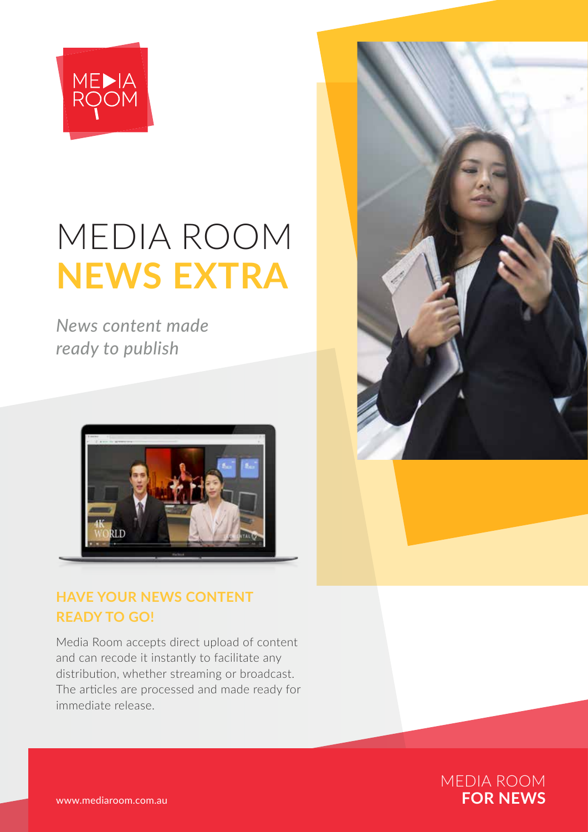

# MEDIA ROOM **NEWS EXTRA**

*News content made ready to publish*



### **HAVE YOUR NEWS CONTENT READY TO GO!**

Media Room accepts direct upload of content and can recode it instantly to facilitate any distribution, whether streaming or broadcast. The articles are processed and made ready for immediate release.



MEDIA ROOM<br>**FOR NEWS**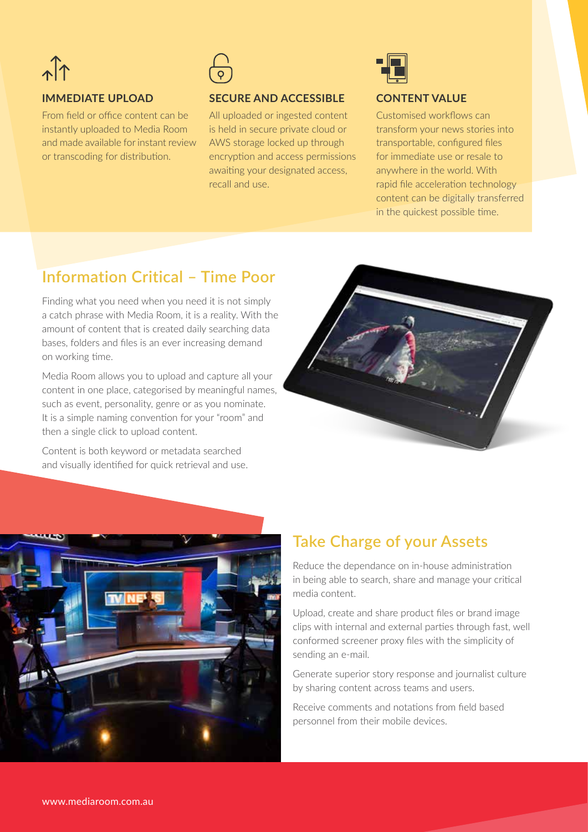# $\hat{A}$

#### **IMMEDIATE UPLOAD**

From field or office content can be instantly uploaded to Media Room and made available for instant review or transcoding for distribution.



#### **SECURE AND ACCESSIBLE**

All uploaded or ingested content is held in secure private cloud or AWS storage locked up through encryption and access permissions awaiting your designated access, recall and use.



#### **CONTENT VALUE**

Customised workflows can transform your news stories into transportable, configured files for immediate use or resale to anywhere in the world. With rapid file acceleration technology content can be digitally transferred in the quickest possible time.

## **Information Critical – Time Poor**

Finding what you need when you need it is not simply a catch phrase with Media Room, it is a reality. With the amount of content that is created daily searching data bases, folders and files is an ever increasing demand on working time.

Media Room allows you to upload and capture all your content in one place, categorised by meaningful names, such as event, personality, genre or as you nominate. It is a simple naming convention for your "room" and then a single click to upload content.

Content is both keyword or metadata searched and visually identified for quick retrieval and use.





## **Take Charge of your Assets**

Reduce the dependance on in-house administration in being able to search, share and manage your critical media content.

Upload, create and share product files or brand image clips with internal and external parties through fast, well conformed screener proxy files with the simplicity of sending an e-mail.

Generate superior story response and journalist culture by sharing content across teams and users.

Receive comments and notations from field based personnel from their mobile devices.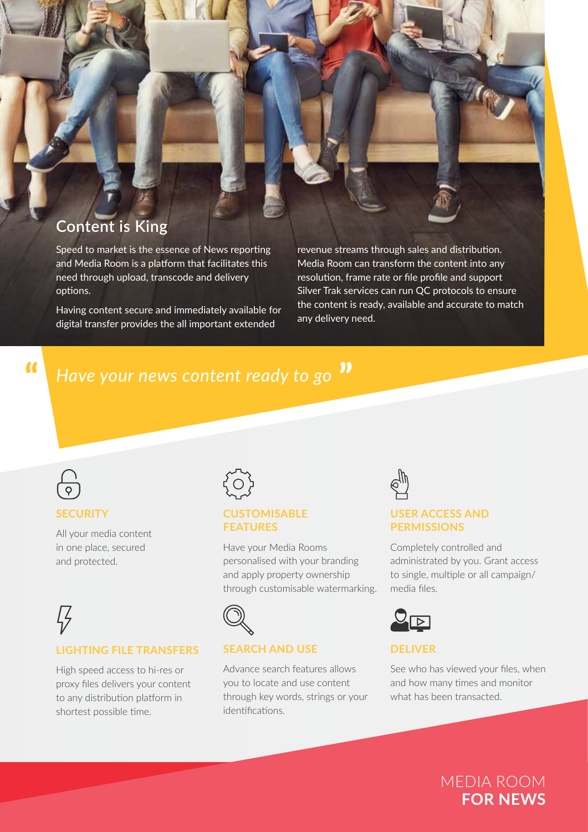## **Content is King**

Speed to market is the essence of News reporting and Media Room is a platform that facilitates this need through upload, transcode and delivery options.

Having content secure and immediately available for digital transfer provides the all important extended

revenue streams through sales and distribution. Media Room can transform the content into any resolution, frame rate or file profile and support Silver Trak services can run QC protocols to ensure the content is ready, available and accurate to match any delivery need.

## *Have your news content ready to go*



 $\alpha$ 

#### **SECURITY**

All your media content in one place, secured and protected.

## Ӷ*Ҙ* **LIGHTING FILE TRANSFERS**

High speed access to hi-res or proxy files delivers your content to any distribution platform in shortest possible time.



#### **CUSTOMISABLE FEATURES**

Have your Media Rooms personalised with your branding and apply property ownership through customisable watermarking.



#### **SEARCH AND USE**

Advance search features allows you to locate and use content through key words, strings or your identifications.



#### **USER ACCESS AND PERMISSIONS**

Completely controlled and administrated by you. Grant access to single, multiple or all campaign/ media files.



#### **DELIVER**

See who has viewed your files, when and how many times and monitor what has been transacted.

> MEDIA ROOM **FOR NEWS**